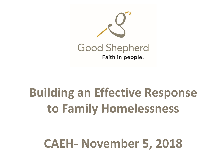

## **Building an Effective Response to Family Homelessness**

### **CAEH- November 5, 2018**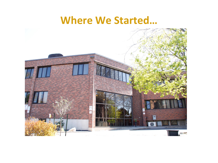#### **Where We Started…**

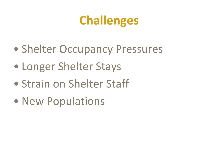## **Challenges**

- Shelter Occupancy Pressures
- Longer Shelter Stays
- Strain on Shelter Staff
- New Populations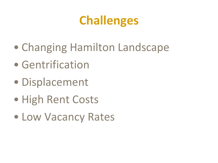### **Challenges**

- Changing Hamilton Landscape
- Gentrification
- Displacement
- High Rent Costs
- Low Vacancy Rates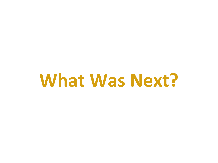# **What Was Next?**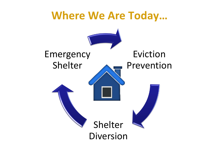# **Where We Are Today…** Eviction Prevention Shelter Diversion Emergency Shelter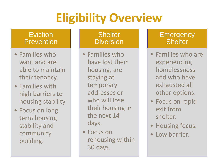## **Eligibility Overview**

#### **Eviction Prevention**

- Families who want and are able to maintain their tenancy.
- Families with high barriers to housing stability
- Focus on long term housing stability and community building.

#### **Shelter Diversion**

- Families who have lost their housing, are staying at temporary addresses or who will lose their housing in the next 14 days.
- Focus on rehousing within 30 days.

#### **Emergency Shelter**

- Families who are experiencing homelessness and who have exhausted all other options.
- Focus on rapid exit from shelter.
- Housing focus.
- Low barrier.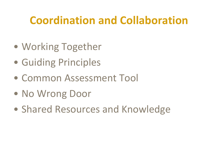#### **Coordination and Collaboration**

- Working Together
- Guiding Principles
- Common Assessment Tool
- No Wrong Door
- Shared Resources and Knowledge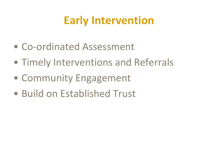#### **Early Intervention**

- Co-ordinated Assessment
- Timely Interventions and Referrals
- Community Engagement
- Build on Established Trust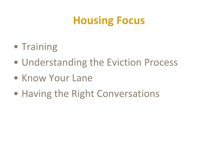#### **Housing Focus**

- Training
- Understanding the Eviction Process
- Know Your Lane
- Having the Right Conversations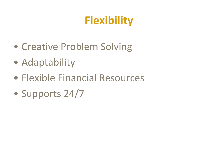### **Flexibility**

- Creative Problem Solving
- Adaptability
- Flexible Financial Resources
- Supports 24/7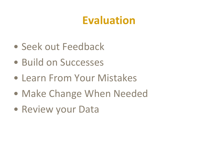#### **Evaluation**

- Seek out Feedback
- Build on Successes
- Learn From Your Mistakes
- Make Change When Needed
- Review your Data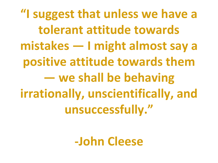**"I suggest that unless we have a tolerant attitude towards mistakes — I might almost say a positive attitude towards them — we shall be behaving irrationally, unscientifically, and unsuccessfully."**

**-John Cleese**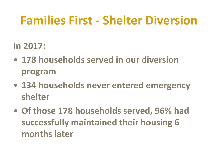### **Families First - Shelter Diversion**

#### **In 2017:**

- **178 households served in our diversion program**
- **134 households never entered emergency shelter**
- **Of those 178 households served, 96% had successfully maintained their housing 6 months later**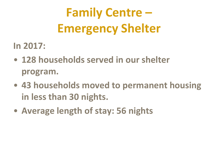## **Family Centre – Emergency Shelter**

#### **In 2017:**

- **128 households served in our shelter program.**
- **43 households moved to permanent housing in less than 30 nights.**
- **Average length of stay: 56 nights**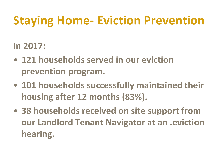## **Staying Home- Eviction Prevention**

#### **In 2017:**

- **121 households served in our eviction prevention program.**
- **101 households successfully maintained their housing after 12 months (83%).**
- **38 households received on site support from our Landlord Tenant Navigator at an .eviction hearing.**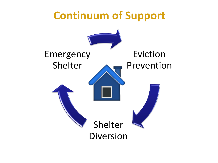# **Continuum of Support** Eviction Prevention Emergency Shelter

Shelter Diversion